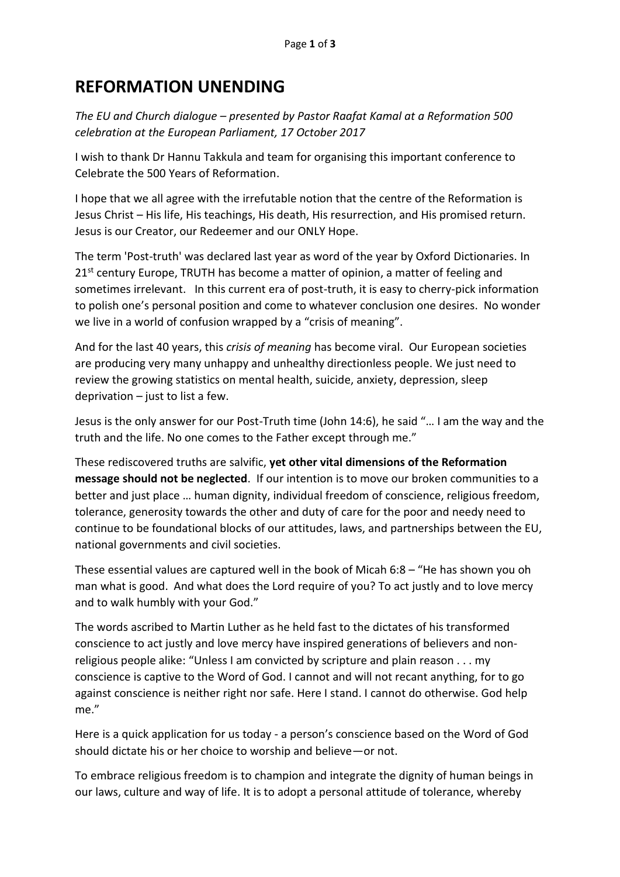## **REFORMATION UNENDING**

*The EU and Church dialogue – presented by Pastor Raafat Kamal at a Reformation 500 celebration at the European Parliament, 17 October 2017*

I wish to thank Dr Hannu Takkula and team for organising this important conference to Celebrate the 500 Years of Reformation.

I hope that we all agree with the irrefutable notion that the centre of the Reformation is Jesus Christ – His life, His teachings, His death, His resurrection, and His promised return. Jesus is our Creator, our Redeemer and our ONLY Hope.

The term 'Post-truth' was declared last year as word of the year by Oxford Dictionaries. In  $21<sup>st</sup>$  century Europe, TRUTH has become a matter of opinion, a matter of feeling and sometimes irrelevant. In this current era of post-truth, it is easy to cherry-pick information to polish one's personal position and come to whatever conclusion one desires. No wonder we live in a world of confusion wrapped by a "crisis of meaning".

And for the last 40 years, this *crisis of meaning* has become viral. Our European societies are producing very many unhappy and unhealthy directionless people. We just need to review the growing statistics on mental health, suicide, anxiety, depression, sleep deprivation  $-$  just to list a few.

Jesus is the only answer for our Post-Truth time (John 14:6), he said "… I am the way and the truth and the life. No one comes to the Father except through me."

These rediscovered truths are salvific, **yet other vital dimensions of the Reformation message should not be neglected**. If our intention is to move our broken communities to a better and just place … human dignity, individual freedom of conscience, religious freedom, tolerance, generosity towards the other and duty of care for the poor and needy need to continue to be foundational blocks of our attitudes, laws, and partnerships between the EU, national governments and civil societies.

These essential values are captured well in the book of Micah 6:8 – "He has shown you oh man what is good. And what does the Lord require of you? To act justly and to love mercy and to walk humbly with your God."

The words ascribed to Martin Luther as he held fast to the dictates of his transformed conscience to act justly and love mercy have inspired generations of believers and nonreligious people alike: "Unless I am convicted by scripture and plain reason . . . my conscience is captive to the Word of God. I cannot and will not recant anything, for to go against conscience is neither right nor safe. Here I stand. I cannot do otherwise. God help me."

Here is a quick application for us today - a person's conscience based on the Word of God should dictate his or her choice to worship and believe—or not.

To embrace religious freedom is to champion and integrate the dignity of human beings in our laws, culture and way of life. It is to adopt a personal attitude of tolerance, whereby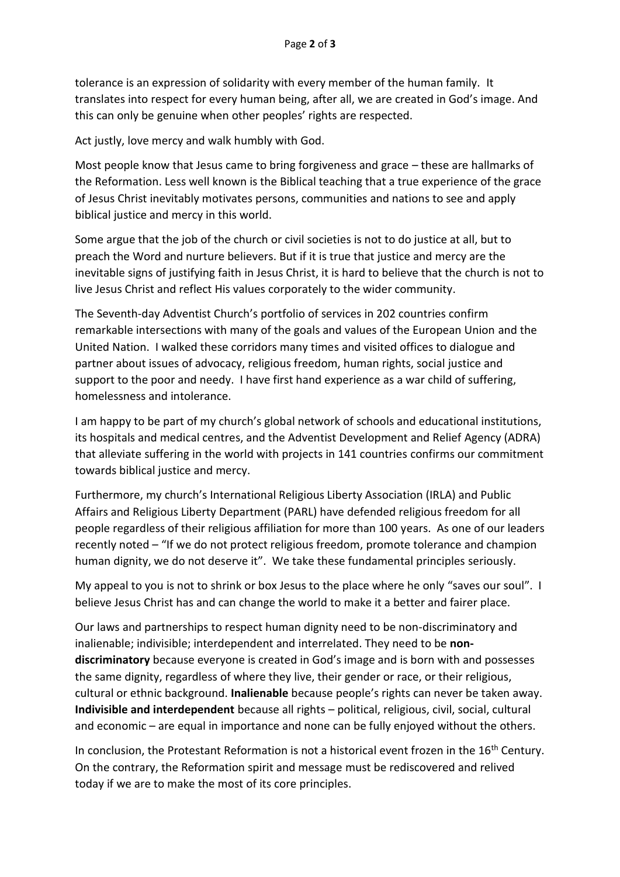tolerance is an expression of solidarity with every member of the human family. It translates into respect for every human being, after all, we are created in God's image. And this can only be genuine when other peoples' rights are respected.

Act justly, love mercy and walk humbly with God.

Most people know that Jesus came to bring forgiveness and grace – these are hallmarks of the Reformation. Less well known is the Biblical teaching that a true experience of the grace of Jesus Christ inevitably motivates persons, communities and nations to see and apply biblical justice and mercy in this world.

Some argue that the job of the church or civil societies is not to do justice at all, but to preach the Word and nurture believers. But if it is true that justice and mercy are the inevitable signs of justifying faith in Jesus Christ, it is hard to believe that the church is not to live Jesus Christ and reflect His values corporately to the wider community.

The Seventh-day Adventist Church's portfolio of services in 202 countries confirm remarkable intersections with many of the goals and values of the European Union and the United Nation. I walked these corridors many times and visited offices to dialogue and partner about issues of advocacy, religious freedom, human rights, social justice and support to the poor and needy. I have first hand experience as a war child of suffering, homelessness and intolerance.

I am happy to be part of my church's global network of schools and educational institutions, its hospitals and medical centres, and the Adventist Development and Relief Agency (ADRA) that alleviate suffering in the world with projects in 141 countries confirms our commitment towards biblical justice and mercy.

Furthermore, my church's International Religious Liberty Association (IRLA) and Public Affairs and Religious Liberty Department (PARL) have defended religious freedom for all people regardless of their religious affiliation for more than 100 years. As one of our leaders recently noted – "If we do not protect religious freedom, promote tolerance and champion human dignity, we do not deserve it". We take these fundamental principles seriously.

My appeal to you is not to shrink or box Jesus to the place where he only "saves our soul". I believe Jesus Christ has and can change the world to make it a better and fairer place.

Our laws and partnerships to respect human dignity need to be non-discriminatory and inalienable; indivisible; interdependent and interrelated. They need to be **nondiscriminatory** because everyone is created in God's image and is born with and possesses the same dignity, regardless of where they live, their gender or race, or their religious, cultural or ethnic background. **Inalienable** because people's rights can never be taken away. **Indivisible and interdependent** because all rights – political, religious, civil, social, cultural and economic – are equal in importance and none can be fully enjoyed without the others.

In conclusion, the Protestant Reformation is not a historical event frozen in the 16<sup>th</sup> Century. On the contrary, the Reformation spirit and message must be rediscovered and relived today if we are to make the most of its core principles.